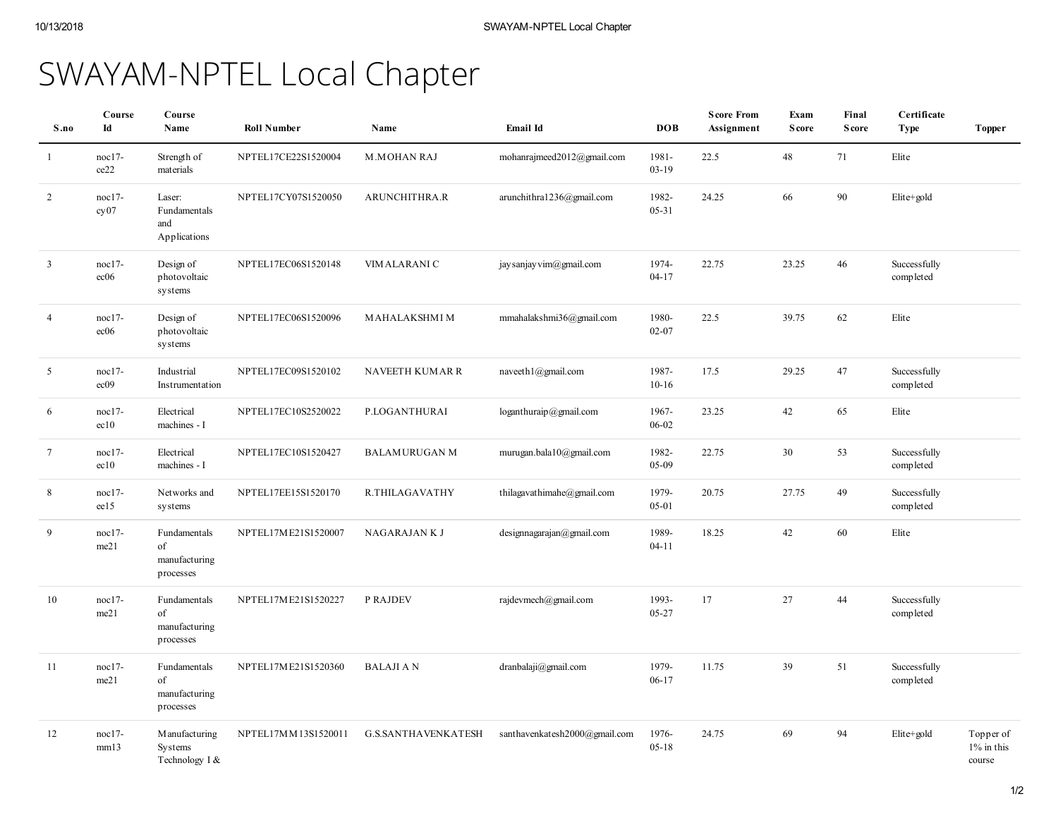## SWAYAM-NPTEL Local Chapter

| S.no           | Course<br>Id               | Course<br>Name                                   | <b>Roll Number</b>  | Name                       | Email Id                      | <b>DOB</b>         | <b>Score From</b><br>Assignment | Exam<br><b>Score</b> | Final<br><b>Score</b> | Certificate<br><b>Type</b> | <b>Topper</b>                        |
|----------------|----------------------------|--------------------------------------------------|---------------------|----------------------------|-------------------------------|--------------------|---------------------------------|----------------------|-----------------------|----------------------------|--------------------------------------|
| -1             | $noc17-$<br>ce22           | Strength of<br>materials                         | NPTEL17CE22S1520004 | <b>M.MOHAN RAJ</b>         | mohanrajmeed2012@gmail.com    | 1981-<br>$03-19$   | 22.5                            | 48                   | 71                    | Elite                      |                                      |
| 2              | noc17-<br>cy07             | Laser:<br>Fundamentals<br>and<br>Applications    | NPTEL17CY07S1520050 | ARUNCHITHRA.R              | arunchithra1236@gmail.com     | 1982-<br>05-31     | 24.25                           | 66                   | 90                    | Elite+gold                 |                                      |
| $\overline{3}$ | noc17-<br>ec06             | Design of<br>photovoltaic<br>systems             | NPTEL17EC06S1520148 | VIM ALARANI C              | jay sanjay vim@gmail.com      | 1974-<br>$04-17$   | 22.75                           | 23.25                | 46                    | Successfully<br>completed  |                                      |
| $\overline{4}$ | $noc17-$<br>ec06           | Design of<br>photovoltaic<br>systems             | NPTEL17EC06S1520096 | MAHALAKSHMI M              | mmahalakshmi36@gmail.com      | 1980-<br>$02 - 07$ | 22.5                            | 39.75                | 62                    | Elite                      |                                      |
| 5              | $noc17-$<br>ec09           | Industrial<br>Instrumentation                    | NPTEL17EC09S1520102 | <b>NAVEETH KUMAR R</b>     | naveeth $1$ @gmail.com        | 1987-<br>$10-16$   | 17.5                            | 29.25                | 47                    | Successfully<br>completed  |                                      |
| 6              | $noc17-$<br>ec10           | Electrical<br>machines - I                       | NPTEL17EC10S2520022 | P.LOGANTHURAI              | $loganthuraip$ @gmail.com     | 1967-<br>06-02     | 23.25                           | 42                   | 65                    | Elite                      |                                      |
| $\tau$         | $noc17-$<br>ec10           | Electrical<br>machines - I                       | NPTEL17EC10S1520427 | <b>BALAMURUGAN M</b>       | murugan.bala10@gmail.com      | 1982-<br>05-09     | 22.75                           | 30                   | 53                    | Successfully<br>completed  |                                      |
| 8              | $\text{nocl } 7$ -<br>ee15 | Networks and<br>systems                          | NPTEL17EE15S1520170 | R.THILAGAVATHY             | thilagavathimahe@gmail.com    | 1979-<br>05-01     | 20.75                           | 27.75                | 49                    | Successfully<br>completed  |                                      |
| 9              | $noc17-$<br>me21           | Fundamentals<br>of<br>manufacturing<br>processes | NPTEL17ME21S1520007 | NAGARAJAN K J              | designnagarajan(Qgmail.com)   | 1989-<br>$04 - 11$ | 18.25                           | 42                   | 60                    | Elite                      |                                      |
| 10             | $noc17-$<br>me21           | Fundamentals<br>of<br>manufacturing<br>processes | NPTEL17ME21S1520227 | P RAJDEV                   | rajdevmech@gmail.com          | 1993-<br>05-27     | 17                              | 27                   | 44                    | Successfully<br>completed  |                                      |
| 11             | noc17-<br>me21             | Fundamentals<br>of<br>manufacturing<br>processes | NPTEL17ME21S1520360 | <b>BALAJI A N</b>          | dranbalaji@gmail.com          | 1979-<br>06-17     | 11.75                           | 39                   | 51                    | Successfully<br>completed  |                                      |
| 12             | $\text{nocl } 7$ -<br>mm13 | M anufacturing<br>Systems<br>Technology I &      | NPTEL17MM13S1520011 | <b>G.S.SANTHAVENKATESH</b> | santhavenkatesh2000@gmail.com | 1976-<br>$05-18$   | 24.75                           | 69                   | 94                    | Elite+gold                 | Topper of<br>$1\%$ in this<br>course |